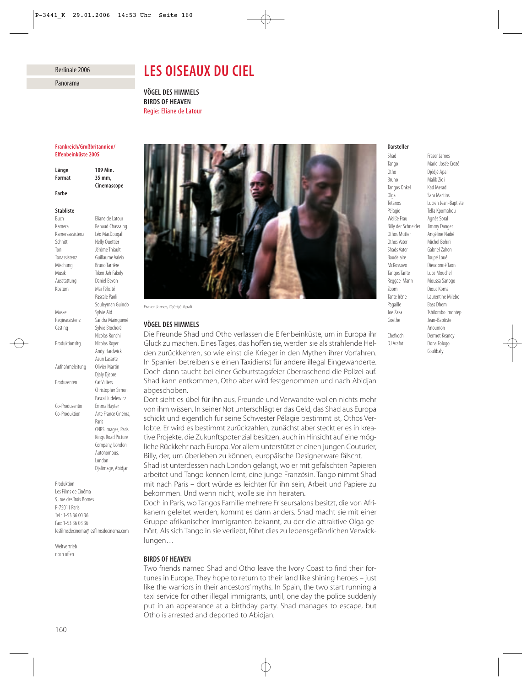## Berlinale 2006

Panorama

# *LES OISEAUX DU CIEL*

*VÖGEL DES HIMMELS BIRDS OF HEAVEN* Regie: Eliane de Latour

### *Frankreich/Großbritannien/ Elfenbeinküste 2005*

*Länge 109 Min. Format 35 mm, Cinemascope Farbe*

# *Stabliste*

Buch Eliane de Latour Kamera Renaud Chassaing Kameraassistenz Léo MacDougall Schnitt Nelly Quettier Ausstattung Daniel Bevan Kostüm Maï Félicité Maske Sylvie Aïd Produzenten Cat Villiers

Ton Jérôme Thiault Tonassistenz Guillaume Valeix Mischung Bruno Tarrière Musik Tiken Jah Fakoly Pascale Paoli Souleyman Guindo Regieassistenz Sandra Mainguené Casting Sylvie Brocheré Nicolas Ronchi Produktionsltg. Nicolas Royer Andy Hardwick Asun Lasarte Aufnahmeleitung Olivier Martin Djaly Djebre Christopher Simon Pascal Judelewicz Co-Produzentin Emma Hayter Co-Produktion Arte France Cinéma, Paris CNRS Images, Paris Kings Road Picture Company, London Autonomous, London Djalimage, Abidjan

Produktion Les Films de Cinéma 9, rue des Trois Bornes F-75011 Paris Tel.: 1-53 36 00 36 Fax: 1-53 36 03 36 lesfilmsdecinema@lesfilmsdecinema.com

Weltvertrieb noch offen



Fraser James, Djédjé Apali

# *VÖGEL DES HIMMELS*

Die Freunde Shad und Otho verlassen die Elfenbeinküste, um in Europa ihr Glück zu machen. Eines Tages, das hoffen sie, werden sie als strahlende Helden zurückkehren, so wie einst die Krieger in den Mythen ihrer Vorfahren. In Spanien betreiben sie einen Taxidienst für andere illegal Eingewanderte. Doch dann taucht bei einer Geburtstagsfeier überraschend die Polizei auf. Shad kann entkommen, Otho aber wird festgenommen und nach Abidjan abgeschoben.

Dort sieht es übel für ihn aus, Freunde und Verwandte wollen nichts mehr von ihm wissen. In seiner Not unterschlägt er das Geld, das Shad aus Europa schickt und eigentlich für seine Schwester Pélagie bestimmt ist, Othos Verlobte. Er wird es bestimmt zurückzahlen, zunächst aber steckt er es in kreative Projekte, die Zukunftspotenzial besitzen, auch in Hinsicht auf eine mögliche Rückkehr nach Europa. Vor allem unterstützt er einen jungen Couturier, Billy, der, um überleben zu können, europäische Designerware fälscht.

Shad ist unterdessen nach London gelangt, wo er mit gefälschten Papieren arbeitet und Tango kennen lernt, eine junge Französin. Tango nimmt Shad mit nach Paris – dort würde es leichter für ihn sein, Arbeit und Papiere zu bekommen. Und wenn nicht, wolle sie ihn heiraten.

Doch in Paris, wo Tangos Familie mehrere Friseursalons besitzt, die von Afrikanern geleitet werden, kommt es dann anders. Shad macht sie mit einer Gruppe afrikanischer Immigranten bekannt, zu der die attraktive Olga gehört. Als sich Tango in sie verliebt, führt dies zu lebensgefährlichen Verwicklungen…

# *BIRDS OF HEAVEN*

Two friends named Shad and Otho leave the Ivory Coast to find their fortunes in Europe. They hope to return to their land like shining heroes – just like the warriors in their ancestors' myths. In Spain, the two start running a taxi service for other illegal immigrants, until, one day the police suddenly put in an appearance at a birthday party. Shad manages to escape, but Otho is arrested and deported to Abidjan.

#### *Darsteller*

Tango Marie-Josée Crozé Otho Djédjé Apali Bruno Malik Zidi Tangos Onkel Kad Merad Olga Sara Martins Pélagie Tella Kpomahou Weiße Frau Agnès Soral Billy der Schneider Jimmy Danger<br>Othos Mutter Angéline Nadir Othos Vater Michel Bohiri Shads Vater Gabriel Zahon Baudelaire Toupé Loué McKossovo Dieudonné Taon Tangos Tante Luce Mouchel Reggae-Mann Moussa Sanogo Zoom Diouc Koma Tante Irène Laurentine Milebo Pagaille Bass Dhem Goethe Jean-Baptiste Chefkoch Dermot Keaney

Shad Fraser James Tetanos Lucien Jean-Baptiste Angéline Nadié Joe Zaza Tshilombo Imohtep Anoumon DJ Arafat Dona Fologo Coulibaly